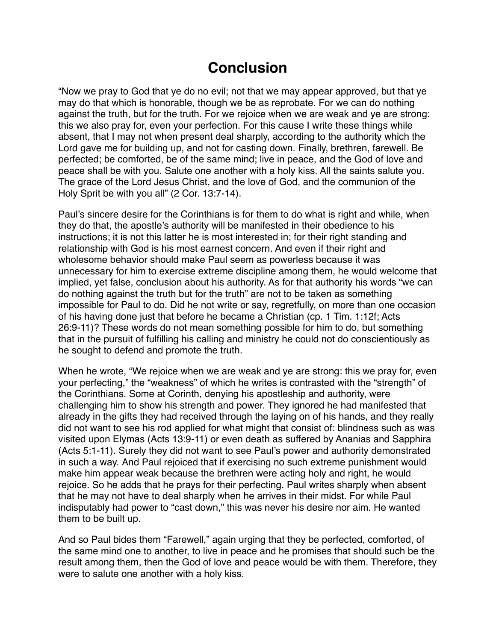## **Conclusion**

"Now we pray to God that ye do no evil; not that we may appear approved, but that ye may do that which is honorable, though we be as reprobate. For we can do nothing against the truth, but for the truth. For we rejoice when we are weak and ye are strong: this we also pray for, even your perfection. For this cause I write these things while absent, that I may not when present deal sharply, according to the authority which the Lord gave me for building up, and not for casting down. Finally, brethren, farewell. Be perfected; be comforted, be of the same mind; live in peace, and the God of love and peace shall be with you. Salute one another with a holy kiss. All the saints salute you. The grace of the Lord Jesus Christ, and the love of God, and the communion of the Holy Sprit be with you all" (2 Cor. 13:7-14).

Paul's sincere desire for the Corinthians is for them to do what is right and while, when they do that, the apostle's authority will be manifested in their obedience to his instructions; it is not this latter he is most interested in; for their right standing and relationship with God is his most earnest concern. And even if their right and wholesome behavior should make Paul seem as powerless because it was unnecessary for him to exercise extreme discipline among them, he would welcome that implied, yet false, conclusion about his authority. As for that authority his words "we can do nothing against the truth but for the truth" are not to be taken as something impossible for Paul to do. Did he not write or say, regretfully, on more than one occasion of his having done just that before he became a Christian (cp. 1 Tim. 1:12f; Acts 26:9-11)? These words do not mean something possible for him to do, but something that in the pursuit of fulfilling his calling and ministry he could not do conscientiously as he sought to defend and promote the truth.

When he wrote, "We rejoice when we are weak and ye are strong: this we pray for, even your perfecting," the "weakness" of which he writes is contrasted with the "strength" of the Corinthians. Some at Corinth, denying his apostleship and authority, were challenging him to show his strength and power. They ignored he had manifested that already in the gifts they had received through the laying on of his hands, and they really did not want to see his rod applied for what might that consist of: blindness such as was visited upon Elymas (Acts 13:9-11) or even death as suffered by Ananias and Sapphira (Acts 5:1-11). Surely they did not want to see Paul's power and authority demonstrated in such a way. And Paul rejoiced that if exercising no such extreme punishment would make him appear weak because the brethren were acting holy and right, he would rejoice. So he adds that he prays for their perfecting. Paul writes sharply when absent that he may not have to deal sharply when he arrives in their midst. For while Paul indisputably had power to "cast down," this was never his desire nor aim. He wanted them to be built up.

And so Paul bides them "Farewell," again urging that they be perfected, comforted, of the same mind one to another, to live in peace and he promises that should such be the result among them, then the God of love and peace would be with them. Therefore, they were to salute one another with a holy kiss.